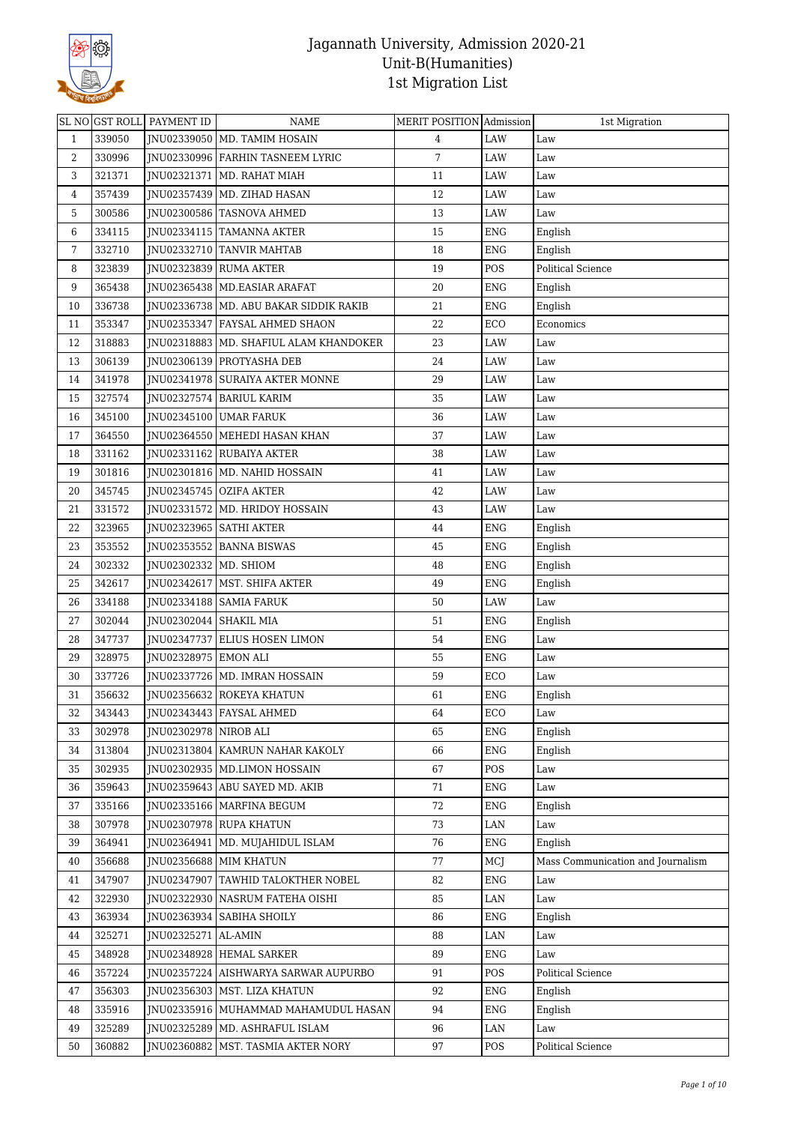

|              |        | SL NO GST ROLL PAYMENT ID | <b>NAME</b>                              | MERIT POSITION Admission |             | 1st Migration                     |
|--------------|--------|---------------------------|------------------------------------------|--------------------------|-------------|-----------------------------------|
| $\mathbf{1}$ | 339050 |                           | JNU02339050   MD. TAMIM HOSAIN           | 4                        | <b>LAW</b>  | Law                               |
| 2            | 330996 |                           | JNU02330996   FARHIN TASNEEM LYRIC       | 7                        | LAW         | Law                               |
| 3            | 321371 |                           | JNU02321371   MD. RAHAT MIAH             | 11                       | LAW         | Law                               |
| 4            | 357439 |                           | JNU02357439   MD. ZIHAD HASAN            | 12                       | LAW         | Law                               |
| 5            | 300586 |                           | JNU02300586 TASNOVA AHMED                | 13                       | LAW         | Law                               |
| 6            | 334115 |                           | JNU02334115 TAMANNA AKTER                | 15                       | <b>ENG</b>  | English                           |
| 7            | 332710 |                           | JNU02332710 TANVIR MAHTAB                | 18                       | ENG         | English                           |
| 8            | 323839 |                           | JNU02323839 RUMA AKTER                   | 19                       | POS         | Political Science                 |
| 9            | 365438 |                           | JNU02365438   MD.EASIAR ARAFAT           | 20                       | ENG         | English                           |
| 10           | 336738 |                           | INU02336738   MD. ABU BAKAR SIDDIK RAKIB | 21                       | ENG         | English                           |
| 11           | 353347 |                           | JNU02353347 FAYSAL AHMED SHAON           | 22                       | ECO         | Economics                         |
| 12           | 318883 |                           | JNU02318883   MD. SHAFIUL ALAM KHANDOKER | 23                       | LAW         | Law                               |
| 13           | 306139 |                           | JNU02306139 PROTYASHA DEB                | 24                       | LAW         | Law                               |
| 14           | 341978 |                           | JNU02341978 SURAIYA AKTER MONNE          | 29                       | LAW         | Law                               |
| 15           | 327574 |                           | JNU02327574   BARIUL KARIM               | 35                       | LAW         | Law                               |
| 16           | 345100 |                           | JNU02345100 UMAR FARUK                   | 36                       | LAW         | Law                               |
| 17           | 364550 |                           | JNU02364550 MEHEDI HASAN KHAN            | 37                       | LAW         | Law                               |
| 18           | 331162 |                           | JNU02331162 RUBAIYA AKTER                | 38                       | LAW         | Law                               |
| 19           | 301816 |                           | JNU02301816   MD. NAHID HOSSAIN          | 41                       | LAW         | Law                               |
| 20           | 345745 |                           | JNU02345745   OZIFA AKTER                | 42                       | LAW         | Law                               |
| 21           | 331572 |                           | JNU02331572   MD. HRIDOY HOSSAIN         | 43                       | LAW         | Law                               |
| 22           | 323965 |                           | JNU02323965   SATHI AKTER                | 44                       | <b>ENG</b>  | English                           |
| 23           | 353552 |                           | JNU02353552 BANNA BISWAS                 | 45                       | ENG         | English                           |
| 24           | 302332 | JNU02302332   MD. SHIOM   |                                          | 48                       | ENG         | English                           |
| 25           | 342617 |                           | JNU02342617   MST. SHIFA AKTER           | 49                       | <b>ENG</b>  | English                           |
| 26           | 334188 |                           | JNU02334188   SAMIA FARUK                | 50                       | LAW         | Law                               |
| 27           | 302044 | JNU02302044 SHAKIL MIA    |                                          | 51                       | ${\rm ENG}$ | English                           |
| 28           | 347737 |                           | JNU02347737 ELIUS HOSEN LIMON            | 54                       | ENG         | Law                               |
| 29           | 328975 | JNU02328975 EMON ALI      |                                          | 55                       | ENG         | Law                               |
| 30           | 337726 |                           | JNU02337726   MD. IMRAN HOSSAIN          | 59                       | ECO         | Law                               |
| 31           | 356632 |                           | JNU02356632 ROKEYA KHATUN                | 61                       | <b>ENG</b>  | English                           |
| 32           | 343443 |                           | JNU02343443 FAYSAL AHMED                 | 64                       | ECO         | Law                               |
| 33           | 302978 | JNU02302978 NIROB ALI     |                                          | 65                       | <b>ENG</b>  | English                           |
| 34           | 313804 |                           | JNU02313804   KAMRUN NAHAR KAKOLY        | 66                       | <b>ENG</b>  | English                           |
| 35           | 302935 |                           | INU02302935 MD.LIMON HOSSAIN             | 67                       | POS         | Law                               |
| 36           | 359643 |                           | JNU02359643 ABU SAYED MD. AKIB           | 71                       | <b>ENG</b>  | Law                               |
| 37           | 335166 |                           | JNU02335166   MARFINA BEGUM              | 72                       | <b>ENG</b>  | English                           |
| 38           | 307978 |                           | JNU02307978 RUPA KHATUN                  | 73                       | LAN         | Law                               |
| 39           | 364941 | JNU02364941               | MD. MUJAHIDUL ISLAM                      | 76                       | ENG         | English                           |
| 40           | 356688 |                           | JNU02356688 MIM KHATUN                   | 77                       | MCJ         | Mass Communication and Journalism |
| 41           | 347907 |                           | JNU02347907   TAWHID TALOKTHER NOBEL     | 82                       | <b>ENG</b>  | Law                               |
| 42           | 322930 |                           | JNU02322930   NASRUM FATEHA OISHI        | 85                       | LAN         | Law                               |
| 43           | 363934 |                           | JNU02363934   SABIHA SHOILY              | 86                       | ENG         | English                           |
| 44           | 325271 | JNU02325271               | AL-AMIN                                  | 88                       | $\rm LAN$   | Law                               |
| 45           | 348928 |                           | JNU02348928 HEMAL SARKER                 | 89                       | <b>ENG</b>  | Law                               |
| 46           | 357224 |                           | JNU02357224 AISHWARYA SARWAR AUPURBO     | 91                       | POS         | <b>Political Science</b>          |
| 47           | 356303 |                           | JNU02356303   MST. LIZA KHATUN           | 92                       | <b>ENG</b>  | English                           |
| 48           | 335916 |                           | JNU02335916   MUHAMMAD MAHAMUDUL HASAN   | 94                       | <b>ENG</b>  | English                           |
| 49           | 325289 |                           | JNU02325289   MD. ASHRAFUL ISLAM         | 96                       | LAN         | Law                               |
| 50           | 360882 |                           | JNU02360882   MST. TASMIA AKTER NORY     | 97                       | POS         | Political Science                 |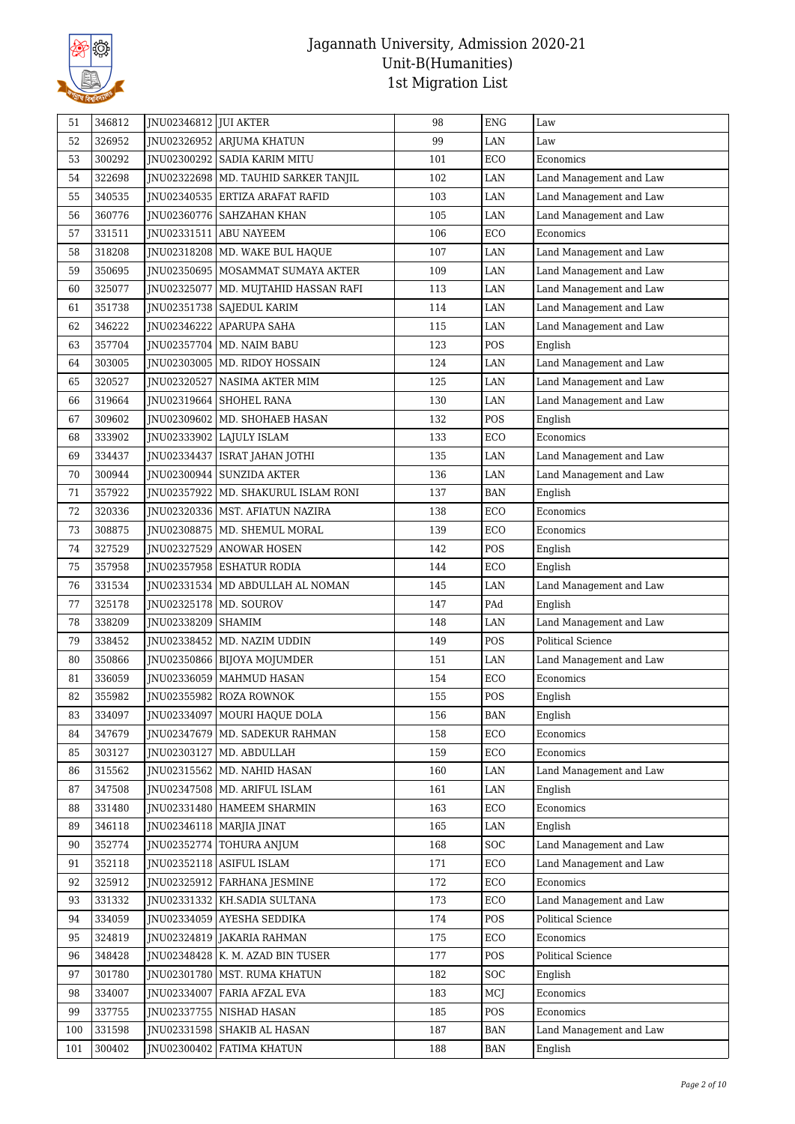

| 51  | 346812 | JNU02346812 JUI AKTER |                                        | 98  | <b>ENG</b> | Law                      |
|-----|--------|-----------------------|----------------------------------------|-----|------------|--------------------------|
| 52  | 326952 |                       | JNU02326952 ARJUMA KHATUN              | 99  | <b>LAN</b> | Law                      |
| 53  | 300292 |                       | JNU02300292   SADIA KARIM MITU         | 101 | ECO        | Economics                |
| 54  | 322698 |                       | JNU02322698   MD. TAUHID SARKER TANJIL | 102 | LAN        | Land Management and Law  |
| 55  | 340535 |                       | JNU02340535 ERTIZA ARAFAT RAFID        | 103 | <b>LAN</b> | Land Management and Law  |
| 56  | 360776 |                       | JNU02360776   SAHZAHAN KHAN            | 105 | LAN        | Land Management and Law  |
| 57  | 331511 | JNU02331511           | <b>ABU NAYEEM</b>                      | 106 | ECO        | Economics                |
| 58  | 318208 |                       | JNU02318208   MD. WAKE BUL HAQUE       | 107 | LAN        | Land Management and Law  |
| 59  | 350695 |                       | INU02350695   MOSAMMAT SUMAYA AKTER    | 109 | LAN        | Land Management and Law  |
| 60  | 325077 | JNU02325077           | MD. MUJTAHID HASSAN RAFI               | 113 | $\rm LAN$  | Land Management and Law  |
| 61  | 351738 |                       | JNU02351738   SAJEDUL KARIM            | 114 | <b>LAN</b> | Land Management and Law  |
| 62  | 346222 |                       | JNU02346222 APARUPA SAHA               | 115 | <b>LAN</b> | Land Management and Law  |
| 63  | 357704 |                       | JNU02357704   MD. NAIM BABU            | 123 | POS        | English                  |
| 64  | 303005 |                       | JNU02303005   MD. RIDOY HOSSAIN        | 124 | LAN        | Land Management and Law  |
| 65  | 320527 | JNU02320527           | NASIMA AKTER MIM                       | 125 | LAN        | Land Management and Law  |
| 66  | 319664 |                       | JNU02319664 SHOHEL RANA                | 130 | LAN        | Land Management and Law  |
| 67  | 309602 |                       | JNU02309602   MD. SHOHAEB HASAN        | 132 | POS        | English                  |
| 68  | 333902 |                       | JNU02333902 LAJULY ISLAM               | 133 | ECO        | Economics                |
| 69  | 334437 | JNU02334437           | ISRAT JAHAN JOTHI                      | 135 | LAN        | Land Management and Law  |
| 70  | 300944 | JNU02300944           | <b>SUNZIDA AKTER</b>                   | 136 | LAN        | Land Management and Law  |
| 71  | 357922 |                       | JNU02357922   MD. SHAKURUL ISLAM RONI  | 137 | BAN        | English                  |
| 72  | 320336 |                       | JNU02320336   MST. AFIATUN NAZIRA      | 138 | ECO        | Economics                |
| 73  | 308875 |                       | JNU02308875   MD. SHEMUL MORAL         | 139 | ECO        | Economics                |
| 74  | 327529 |                       | JNU02327529   ANOWAR HOSEN             | 142 | POS        | English                  |
| 75  | 357958 |                       | JNU02357958   ESHATUR RODIA            | 144 | ECO        | English                  |
| 76  | 331534 |                       | JNU02331534   MD ABDULLAH AL NOMAN     | 145 | LAN        | Land Management and Law  |
| 77  | 325178 |                       | JNU02325178   MD. SOUROV               | 147 | PAd        | English                  |
| 78  | 338209 | JNU02338209   SHAMIM  |                                        | 148 | LAN        | Land Management and Law  |
| 79  | 338452 |                       | JNU02338452   MD. NAZIM UDDIN          | 149 | POS        | <b>Political Science</b> |
| 80  | 350866 |                       | JNU02350866 BIJOYA MOJUMDER            | 151 | <b>LAN</b> | Land Management and Law  |
| 81  | 336059 |                       | JNU02336059   MAHMUD HASAN             | 154 | ECO        | Economics                |
| 82  | 355982 |                       | JNU02355982 ROZA ROWNOK                | 155 | POS        | English                  |
| 83  | 334097 |                       | JNU02334097   MOURI HAQUE DOLA         | 156 | BAN        | English                  |
| 84  | 347679 |                       | JNU02347679   MD. SADEKUR RAHMAN       | 158 | ECO        | Economics                |
| 85  | 303127 | JNU02303127           | MD. ABDULLAH                           | 159 | ECO        | Economics                |
| 86  | 315562 |                       | JNU02315562 MD. NAHID HASAN            | 160 | LAN        | Land Management and Law  |
| 87  | 347508 |                       | JNU02347508   MD. ARIFUL ISLAM         | 161 | LAN        | English                  |
| 88  | 331480 |                       | INU02331480 HAMEEM SHARMIN             | 163 | ECO        | Economics                |
| 89  | 346118 |                       | JNU02346118   MARJIA JINAT             | 165 | LAN        | English                  |
| 90  | 352774 |                       | JNU02352774 TOHURA ANJUM               | 168 | SOC        | Land Management and Law  |
| 91  | 352118 |                       | JNU02352118   ASIFUL ISLAM             | 171 | ECO        | Land Management and Law  |
| 92  | 325912 |                       | JNU02325912   FARHANA JESMINE          | 172 | ECO        | Economics                |
| 93  | 331332 |                       | JNU02331332   KH.SADIA SULTANA         | 173 | ECO        | Land Management and Law  |
| 94  | 334059 |                       | JNU02334059 AYESHA SEDDIKA             | 174 | POS        | Political Science        |
| 95  | 324819 |                       | JNU02324819 JAKARIA RAHMAN             | 175 | ECO        | Economics                |
| 96  | 348428 |                       | JNU02348428   K. M. AZAD BIN TUSER     | 177 | POS        | Political Science        |
| 97  | 301780 |                       | JNU02301780   MST. RUMA KHATUN         | 182 | SOC        | English                  |
| 98  | 334007 | JNU02334007           | <b>FARIA AFZAL EVA</b>                 | 183 | MCJ        | Economics                |
| 99  | 337755 |                       | JNU02337755 NISHAD HASAN               | 185 | POS        | Economics                |
| 100 | 331598 |                       | JNU02331598   SHAKIB AL HASAN          | 187 | BAN        | Land Management and Law  |
| 101 | 300402 | JNU02300402           | <b>FATIMA KHATUN</b>                   | 188 | BAN        | English                  |
|     |        |                       |                                        |     |            |                          |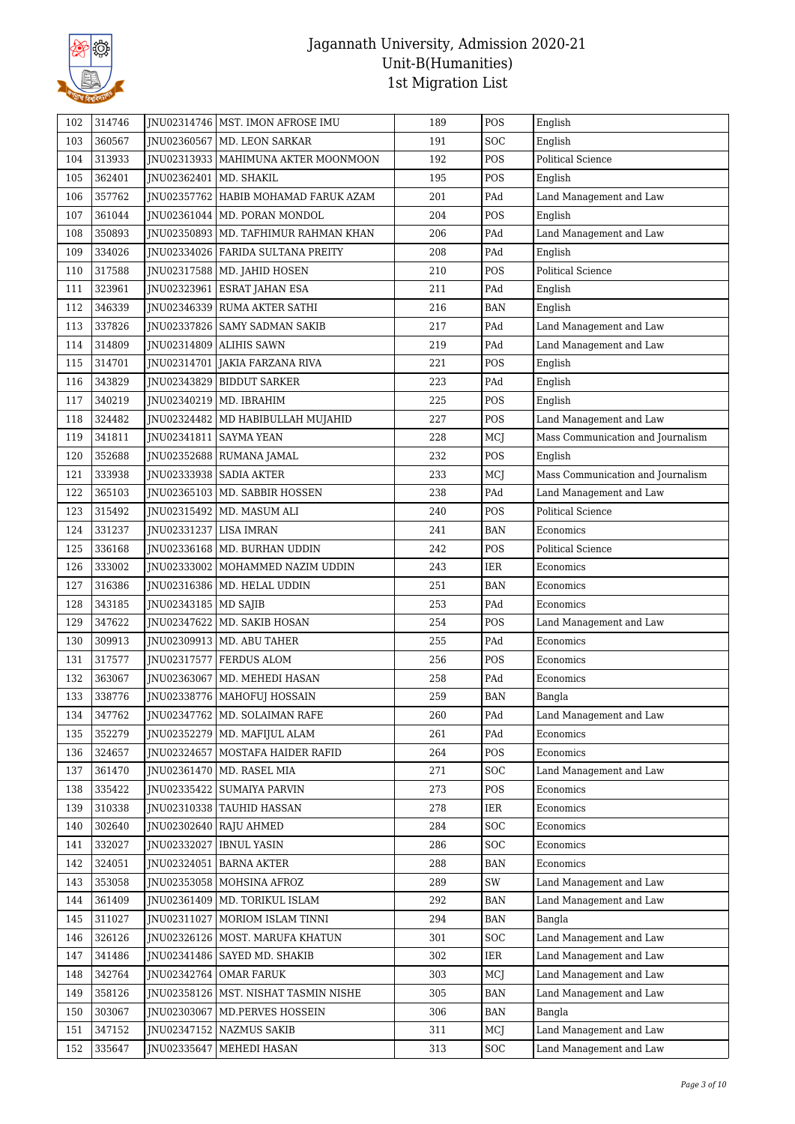

| 102 | 314746 |                          | INU02314746   MST. IMON AFROSE IMU     | 189 | POS                     | English                           |
|-----|--------|--------------------------|----------------------------------------|-----|-------------------------|-----------------------------------|
| 103 | 360567 |                          | JNU02360567   MD. LEON SARKAR          | 191 | SOC                     | English                           |
| 104 | 313933 |                          | JNU02313933   MAHIMUNA AKTER MOONMOON  | 192 | POS                     | <b>Political Science</b>          |
| 105 | 362401 | JNU02362401              | MD. SHAKIL                             | 195 | POS                     | English                           |
| 106 | 357762 |                          | JNU02357762 HABIB MOHAMAD FARUK AZAM   | 201 | PAd                     | Land Management and Law           |
| 107 | 361044 |                          | JNU02361044   MD. PORAN MONDOL         | 204 | POS                     | English                           |
| 108 | 350893 |                          | JNU02350893   MD. TAFHIMUR RAHMAN KHAN | 206 | PAd                     | Land Management and Law           |
| 109 | 334026 |                          | JNU02334026   FARIDA SULTANA PREITY    | 208 | PAd                     | English                           |
| 110 | 317588 |                          | JNU02317588   MD. JAHID HOSEN          | 210 | POS                     | <b>Political Science</b>          |
| 111 | 323961 |                          | JNU02323961 ESRAT JAHAN ESA            | 211 | PAd                     | English                           |
| 112 | 346339 |                          | JNU02346339 RUMA AKTER SATHI           | 216 | <b>BAN</b>              | English                           |
| 113 | 337826 |                          | JNU02337826 SAMY SADMAN SAKIB          | 217 | PAd                     | Land Management and Law           |
| 114 | 314809 |                          | JNU02314809 ALIHIS SAWN                | 219 | PAd                     | Land Management and Law           |
| 115 | 314701 | JNU02314701              | JAKIA FARZANA RIVA                     | 221 | POS                     | English                           |
| 116 | 343829 |                          | JNU02343829   BIDDUT SARKER            | 223 | PAd                     | English                           |
| 117 | 340219 |                          | JNU02340219   MD. IBRAHIM              | 225 | POS                     | English                           |
| 118 | 324482 |                          | JNU02324482   MD HABIBULLAH MUJAHID    | 227 | POS                     | Land Management and Law           |
| 119 | 341811 | JNU02341811   SAYMA YEAN |                                        | 228 | MCJ                     | Mass Communication and Journalism |
| 120 | 352688 |                          | JNU02352688   RUMANA JAMAL             | 232 | POS                     | English                           |
| 121 | 333938 |                          | JNU02333938   SADIA AKTER              | 233 | MCJ                     | Mass Communication and Journalism |
| 122 | 365103 |                          | JNU02365103   MD. SABBIR HOSSEN        | 238 | PAd                     | Land Management and Law           |
| 123 | 315492 |                          | JNU02315492   MD. MASUM ALI            | 240 | POS                     | <b>Political Science</b>          |
| 124 | 331237 | JNU02331237              | <b>LISA IMRAN</b>                      | 241 | <b>BAN</b>              | Economics                         |
| 125 | 336168 |                          | JNU02336168   MD. BURHAN UDDIN         | 242 | POS                     | <b>Political Science</b>          |
| 126 | 333002 |                          | JNU02333002   MOHAMMED NAZIM UDDIN     | 243 | IER                     | Economics                         |
| 127 | 316386 |                          | JNU02316386   MD. HELAL UDDIN          | 251 | <b>BAN</b>              | Economics                         |
| 128 | 343185 | JNU02343185   MD SAJIB   |                                        | 253 | $\mathop{\mathrm{PAd}}$ | Economics                         |
| 129 | 347622 |                          | JNU02347622   MD. SAKIB HOSAN          | 254 | POS                     | Land Management and Law           |
| 130 | 309913 |                          | JNU02309913   MD. ABU TAHER            | 255 | PAd                     | Economics                         |
| 131 | 317577 | JNU02317577              | <b>FERDUS ALOM</b>                     | 256 | POS                     | Economics                         |
| 132 | 363067 | JNU02363067              | MD. MEHEDI HASAN                       | 258 | PAd                     | Economics                         |
| 133 | 338776 |                          | JNU02338776   MAHOFUJ HOSSAIN          | 259 | <b>BAN</b>              | Bangla                            |
| 134 | 347762 |                          | JNU02347762   MD. SOLAIMAN RAFE        | 260 | PAd                     | Land Management and Law           |
| 135 | 352279 |                          | JNU02352279   MD. MAFIJUL ALAM         | 261 | PAd                     | Economics                         |
| 136 | 324657 |                          | JNU02324657   MOSTAFA HAIDER RAFID     | 264 | POS                     | Economics                         |
| 137 | 361470 |                          | JNU02361470   MD. RASEL MIA            | 271 | SOC                     | Land Management and Law           |
| 138 | 335422 |                          | JNU02335422 SUMAIYA PARVIN             | 273 | POS                     | Economics                         |
| 139 | 310338 |                          | JNU02310338   TAUHID HASSAN            | 278 | IER                     | Economics                         |
| 140 | 302640 |                          | JNU02302640 RAJU AHMED                 | 284 | SOC                     | Economics                         |
| 141 | 332027 | JNU02332027              | <b>IBNUL YASIN</b>                     | 286 | SOC                     | Economics                         |
| 142 | 324051 |                          | JNU02324051   BARNA AKTER              | 288 | BAN                     | Economics                         |
| 143 | 353058 |                          | JNU02353058   MOHSINA AFROZ            | 289 | SW                      | Land Management and Law           |
| 144 | 361409 |                          | JNU02361409   MD. TORIKUL ISLAM        | 292 | BAN                     | Land Management and Law           |
| 145 | 311027 |                          | JNU02311027   MORIOM ISLAM TINNI       | 294 | BAN                     | Bangla                            |
| 146 | 326126 |                          | JNU02326126   MOST. MARUFA KHATUN      | 301 | SOC                     | Land Management and Law           |
| 147 | 341486 |                          | JNU02341486 SAYED MD. SHAKIB           | 302 | IER                     | Land Management and Law           |
| 148 | 342764 |                          | JNU02342764 OMAR FARUK                 | 303 | MCJ                     | Land Management and Law           |
| 149 | 358126 |                          | JNU02358126   MST. NISHAT TASMIN NISHE | 305 | BAN                     | Land Management and Law           |
| 150 | 303067 | JNU02303067              | MD.PERVES HOSSEIN                      | 306 | BAN                     | Bangla                            |
| 151 | 347152 |                          | JNU02347152 NAZMUS SAKIB               | 311 | MCJ                     | Land Management and Law           |
| 152 | 335647 | JNU02335647              | MEHEDI HASAN                           | 313 | <b>SOC</b>              | Land Management and Law           |
|     |        |                          |                                        |     |                         |                                   |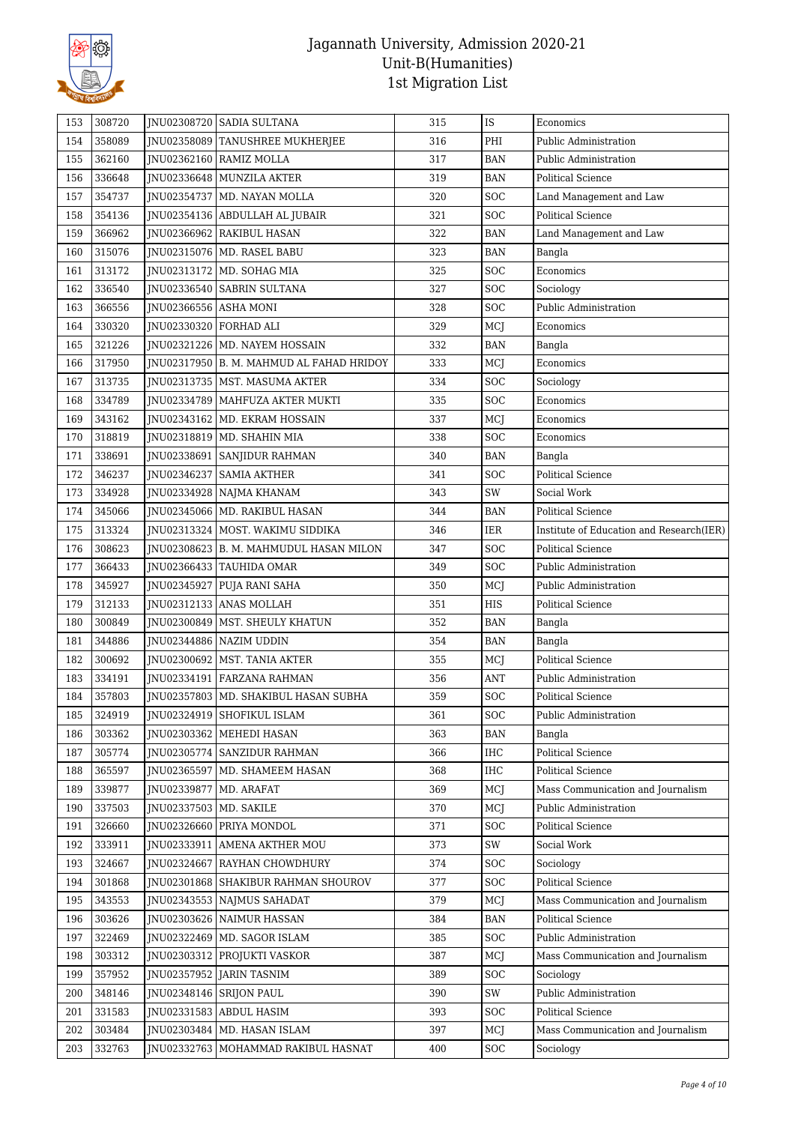

| 153 | 308720 |                          | JNU02308720 SADIA SULTANA                  | 315 | IS                          | Economics                                |
|-----|--------|--------------------------|--------------------------------------------|-----|-----------------------------|------------------------------------------|
| 154 | 358089 |                          | JNU02358089 TANUSHREE MUKHERJEE            | 316 | PHI                         | Public Administration                    |
| 155 | 362160 |                          | JNU02362160 RAMIZ MOLLA                    | 317 | <b>BAN</b>                  | Public Administration                    |
| 156 | 336648 |                          | JNU02336648 MUNZILA AKTER                  | 319 | <b>BAN</b>                  | <b>Political Science</b>                 |
| 157 | 354737 |                          | JNU02354737   MD. NAYAN MOLLA              | 320 | SOC                         | Land Management and Law                  |
| 158 | 354136 |                          | JNU02354136   ABDULLAH AL JUBAIR           | 321 | SOC                         | <b>Political Science</b>                 |
| 159 | 366962 |                          | JNU02366962 RAKIBUL HASAN                  | 322 | <b>BAN</b>                  | Land Management and Law                  |
| 160 | 315076 |                          | JNU02315076   MD. RASEL BABU               | 323 | BAN                         | Bangla                                   |
| 161 | 313172 |                          | JNU02313172   MD. SOHAG MIA                | 325 | SOC                         | Economics                                |
| 162 | 336540 |                          | JNU02336540   SABRIN SULTANA               | 327 | SOC                         | Sociology                                |
| 163 | 366556 | JNU02366556 ASHA MONI    |                                            | 328 | <b>SOC</b>                  | Public Administration                    |
| 164 | 330320 | JNU02330320 FORHAD ALI   |                                            | 329 | MCJ                         | Economics                                |
| 165 | 321226 |                          | JNU02321226   MD. NAYEM HOSSAIN            | 332 | $\ensuremath{\mathsf{BAN}}$ | Bangla                                   |
| 166 | 317950 |                          | JNU02317950   B. M. MAHMUD AL FAHAD HRIDOY | 333 | MCJ                         | Economics                                |
| 167 | 313735 |                          | JNU02313735   MST. MASUMA AKTER            | 334 | SOC                         | Sociology                                |
| 168 | 334789 |                          | JNU02334789   MAHFUZA AKTER MUKTI          | 335 | <b>SOC</b>                  | Economics                                |
| 169 | 343162 |                          | JNU02343162 MD. EKRAM HOSSAIN              | 337 | MCJ                         | Economics                                |
| 170 | 318819 |                          | JNU02318819   MD. SHAHIN MIA               | 338 | <b>SOC</b>                  | Economics                                |
| 171 | 338691 |                          | JNU02338691   SANJIDUR RAHMAN              | 340 | <b>BAN</b>                  | Bangla                                   |
| 172 | 346237 |                          | JNU02346237 SAMIA AKTHER                   | 341 | <b>SOC</b>                  | <b>Political Science</b>                 |
| 173 | 334928 |                          | JNU02334928   NAJMA KHANAM                 | 343 | SW                          | Social Work                              |
| 174 | 345066 |                          | JNU02345066   MD. RAKIBUL HASAN            | 344 | <b>BAN</b>                  | <b>Political Science</b>                 |
| 175 | 313324 |                          | JNU02313324   MOST. WAKIMU SIDDIKA         | 346 | IER                         | Institute of Education and Research(IER) |
| 176 | 308623 |                          | JNU02308623   B. M. MAHMUDUL HASAN MILON   | 347 | SOC                         | <b>Political Science</b>                 |
| 177 | 366433 |                          | JNU02366433 TAUHIDA OMAR                   | 349 | SOC                         | Public Administration                    |
| 178 | 345927 | JNU02345927              | PUJA RANI SAHA                             | 350 | MCJ                         | Public Administration                    |
| 179 | 312133 |                          | JNU02312133 ANAS MOLLAH                    | 351 | HIS                         | <b>Political Science</b>                 |
| 180 | 300849 |                          | JNU02300849   MST. SHEULY KHATUN           | 352 | <b>BAN</b>                  | Bangla                                   |
| 181 | 344886 |                          | JNU02344886   NAZIM UDDIN                  | 354 | <b>BAN</b>                  | Bangla                                   |
| 182 | 300692 |                          | JNU02300692 MST. TANIA AKTER               | 355 | MCJ                         | <b>Political Science</b>                 |
| 183 | 334191 | JNU02334191              | <b>FARZANA RAHMAN</b>                      | 356 | ANT                         | Public Administration                    |
| 184 | 357803 |                          | JNU02357803   MD. SHAKIBUL HASAN SUBHA     | 359 | SOC                         | <b>Political Science</b>                 |
| 185 | 324919 |                          | JNU02324919 SHOFIKUL ISLAM                 | 361 | SOC                         | Public Administration                    |
| 186 | 303362 |                          | JNU02303362   MEHEDI HASAN                 | 363 | <b>BAN</b>                  | Bangla                                   |
| 187 | 305774 |                          | JNU02305774   SANZIDUR RAHMAN              | 366 | IHC                         | Political Science                        |
| 188 | 365597 | JNU02365597              | MD. SHAMEEM HASAN                          | 368 | IHC                         | Political Science                        |
| 189 | 339877 | JNU02339877              | MD. ARAFAT                                 | 369 | MCJ                         | Mass Communication and Journalism        |
| 190 | 337503 | JNU02337503   MD. SAKILE |                                            | 370 | MCJ                         | Public Administration                    |
| 191 | 326660 |                          | JNU02326660 PRIYA MONDOL                   | 371 | SOC                         | Political Science                        |
| 192 | 333911 | JNU02333911              | <b>AMENA AKTHER MOU</b>                    | 373 | SW                          | Social Work                              |
| 193 | 324667 | JNU02324667              | <b>RAYHAN CHOWDHURY</b>                    | 374 | SOC                         | Sociology                                |
| 194 | 301868 |                          | JNU02301868   SHAKIBUR RAHMAN SHOUROV      | 377 | SOC                         | <b>Political Science</b>                 |
| 195 | 343553 |                          | JNU02343553 NAJMUS SAHADAT                 | 379 | MCJ                         | Mass Communication and Journalism        |
| 196 | 303626 |                          | JNU02303626   NAIMUR HASSAN                | 384 | BAN                         | Political Science                        |
| 197 | 322469 |                          | JNU02322469   MD. SAGOR ISLAM              | 385 | SOC                         | Public Administration                    |
| 198 | 303312 |                          | JNU02303312 PROJUKTI VASKOR                | 387 | MCJ                         | Mass Communication and Journalism        |
| 199 | 357952 |                          | JNU02357952 JARIN TASNIM                   | 389 | SOC                         | Sociology                                |
| 200 | 348146 |                          | JNU02348146 SRIJON PAUL                    | 390 | SW                          | Public Administration                    |
| 201 | 331583 |                          | JNU02331583 ABDUL HASIM                    | 393 | <b>SOC</b>                  | Political Science                        |
| 202 | 303484 |                          | JNU02303484   MD. HASAN ISLAM              | 397 | MCJ                         | Mass Communication and Journalism        |
| 203 | 332763 |                          | JNU02332763   MOHAMMAD RAKIBUL HASNAT      | 400 | <b>SOC</b>                  | Sociology                                |
|     |        |                          |                                            |     |                             |                                          |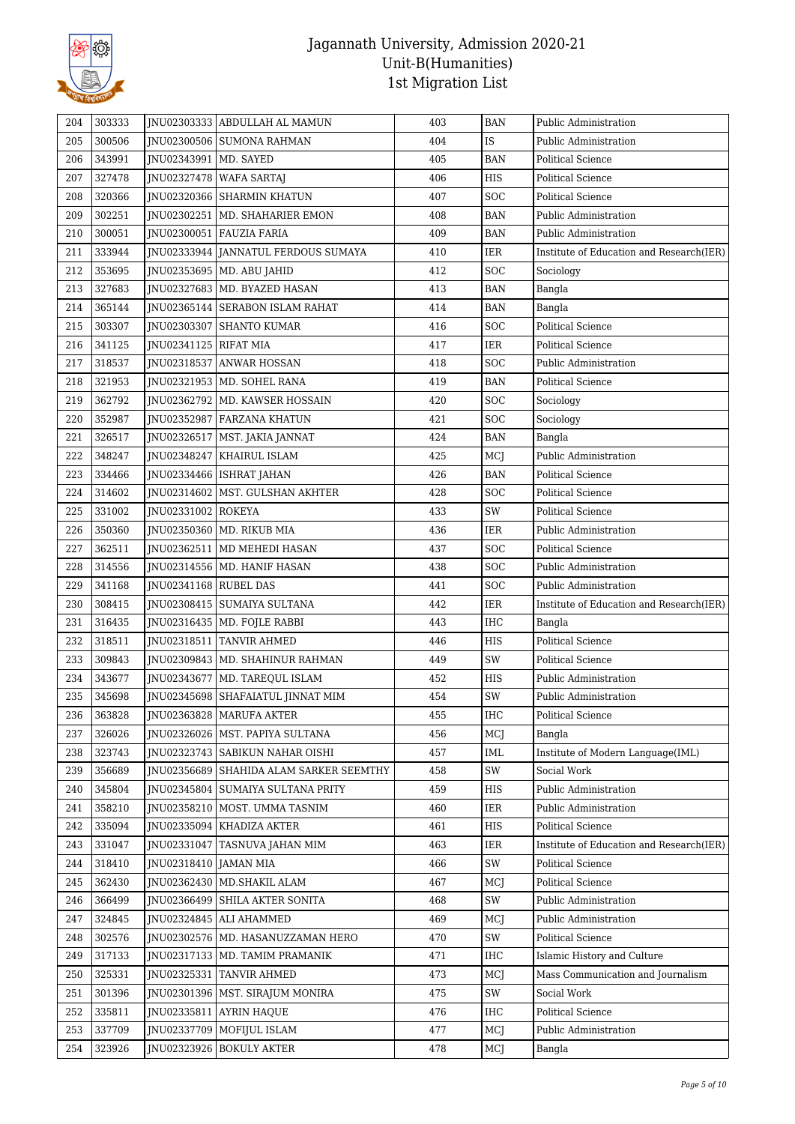

| 204 | 303333 |                         | JNU02303333 ABDULLAH AL MAMUN           | 403 | <b>BAN</b>         | Public Administration                    |
|-----|--------|-------------------------|-----------------------------------------|-----|--------------------|------------------------------------------|
| 205 | 300506 |                         | JNU02300506 SUMONA RAHMAN               | 404 | IS                 | Public Administration                    |
| 206 | 343991 | JNU02343991   MD. SAYED |                                         | 405 | <b>BAN</b>         | <b>Political Science</b>                 |
| 207 | 327478 |                         | JNU02327478   WAFA SARTAJ               | 406 | HIS                | <b>Political Science</b>                 |
| 208 | 320366 |                         | JNU02320366 SHARMIN KHATUN              | 407 | <b>SOC</b>         | <b>Political Science</b>                 |
| 209 | 302251 |                         | JNU02302251   MD. SHAHARIER EMON        | 408 | BAN                | Public Administration                    |
| 210 | 300051 |                         | JNU02300051   FAUZIA FARIA              | 409 | <b>BAN</b>         | Public Administration                    |
| 211 | 333944 |                         | JNU02333944 JANNATUL FERDOUS SUMAYA     | 410 | IER                | Institute of Education and Research(IER) |
| 212 | 353695 |                         | JNU02353695   MD. ABU JAHID             | 412 | SOC                | Sociology                                |
| 213 | 327683 |                         | JNU02327683   MD. BYAZED HASAN          | 413 | <b>BAN</b>         | Bangla                                   |
| 214 | 365144 |                         | JNU02365144 SERABON ISLAM RAHAT         | 414 | <b>BAN</b>         | Bangla                                   |
| 215 | 303307 |                         | JNU02303307 SHANTO KUMAR                | 416 | <b>SOC</b>         | <b>Political Science</b>                 |
| 216 | 341125 | JNU02341125   RIFAT MIA |                                         | 417 | IER                | <b>Political Science</b>                 |
| 217 | 318537 |                         | JNU02318537 ANWAR HOSSAN                | 418 | SOC                | Public Administration                    |
| 218 | 321953 |                         | JNU02321953   MD. SOHEL RANA            | 419 | <b>BAN</b>         | <b>Political Science</b>                 |
| 219 | 362792 |                         | JNU02362792   MD. KAWSER HOSSAIN        | 420 | SOC                | Sociology                                |
| 220 | 352987 |                         | JNU02352987 FARZANA KHATUN              | 421 | <b>SOC</b>         | Sociology                                |
| 221 | 326517 |                         | JNU02326517   MST. JAKIA JANNAT         | 424 | <b>BAN</b>         | Bangla                                   |
| 222 | 348247 |                         | JNU02348247   KHAIRUL ISLAM             | 425 | MCJ                | Public Administration                    |
| 223 | 334466 |                         | JNU02334466   ISHRAT JAHAN              | 426 | <b>BAN</b>         | <b>Political Science</b>                 |
| 224 | 314602 |                         | JNU02314602   MST. GULSHAN AKHTER       | 428 | SOC                | <b>Political Science</b>                 |
| 225 | 331002 | JNU02331002   ROKEYA    |                                         | 433 | SW                 | Political Science                        |
| 226 | 350360 |                         | JNU02350360   MD. RIKUB MIA             | 436 | IER                | Public Administration                    |
| 227 | 362511 |                         | JNU02362511   MD MEHEDI HASAN           | 437 | <b>SOC</b>         | <b>Political Science</b>                 |
| 228 | 314556 |                         | JNU02314556   MD. HANIF HASAN           | 438 | <b>SOC</b>         | Public Administration                    |
| 229 | 341168 | JNU02341168 RUBEL DAS   |                                         | 441 | <b>SOC</b>         | Public Administration                    |
| 230 | 308415 |                         | JNU02308415 SUMAIYA SULTANA             | 442 | IER                | Institute of Education and Research(IER) |
| 231 | 316435 |                         | JNU02316435   MD. FOJLE RABBI           | 443 | IHC                | Bangla                                   |
| 232 | 318511 |                         | JNU02318511 TANVIR AHMED                | 446 | HIS                | <b>Political Science</b>                 |
| 233 | 309843 |                         | JNU02309843   MD. SHAHINUR RAHMAN       | 449 | SW                 | Political Science                        |
| 234 | 343677 |                         | JNU02343677   MD. TAREQUL ISLAM         | 452 | HIS                | Public Administration                    |
| 235 | 345698 |                         | JNU02345698   SHAFAIATUL JINNAT MIM     | 454 | SW                 | Public Administration                    |
| 236 | 363828 |                         | JNU02363828 MARUFA AKTER                | 455 | <b>IHC</b>         | Political Science                        |
| 237 | 326026 |                         | JNU02326026   MST. PAPIYA SULTANA       | 456 | MCJ                | Bangla                                   |
| 238 | 323743 |                         | JNU02323743   SABIKUN NAHAR OISHI       | 457 | IML                | Institute of Modern Language(IML)        |
| 239 | 356689 |                         | JNU02356689 SHAHIDA ALAM SARKER SEEMTHY | 458 | SW                 | Social Work                              |
| 240 | 345804 |                         | JNU02345804 SUMAIYA SULTANA PRITY       | 459 | HIS                | Public Administration                    |
| 241 | 358210 |                         | JNU02358210   MOST. UMMA TASNIM         | 460 | IER                | Public Administration                    |
| 242 | 335094 |                         | JNU02335094   KHADIZA AKTER             | 461 | HIS                | <b>Political Science</b>                 |
| 243 | 331047 | JNU02331047             | TASNUVA JAHAN MIM                       | 463 | IER                | Institute of Education and Research(IER) |
| 244 | 318410 | JNU02318410   JAMAN MIA |                                         | 466 | $\text{SW}\xspace$ | Political Science                        |
| 245 | 362430 |                         | JNU02362430   MD.SHAKIL ALAM            | 467 | MCJ                | Political Science                        |
| 246 | 366499 |                         | JNU02366499 SHILA AKTER SONITA          | 468 | SW                 | Public Administration                    |
| 247 | 324845 |                         | JNU02324845   ALI AHAMMED               | 469 | MCJ                | Public Administration                    |
| 248 | 302576 |                         | JNU02302576   MD. HASANUZZAMAN HERO     | 470 | SW                 | Political Science                        |
| 249 | 317133 |                         | JNU02317133   MD. TAMIM PRAMANIK        | 471 | <b>IHC</b>         | Islamic History and Culture              |
| 250 | 325331 |                         | JNU02325331 TANVIR AHMED                | 473 | MCJ                | Mass Communication and Journalism        |
| 251 | 301396 |                         | JNU02301396   MST. SIRAJUM MONIRA       | 475 | $\mathrm{SW}$      | Social Work                              |
| 252 | 335811 | JNU02335811             | AYRIN HAQUE                             | 476 | <b>IHC</b>         | Political Science                        |
| 253 | 337709 |                         | JNU02337709   MOFIJUL ISLAM             | 477 | MCJ                | Public Administration                    |
| 254 | 323926 |                         | JNU02323926   BOKULY AKTER              | 478 | MCJ                | Bangla                                   |
|     |        |                         |                                         |     |                    |                                          |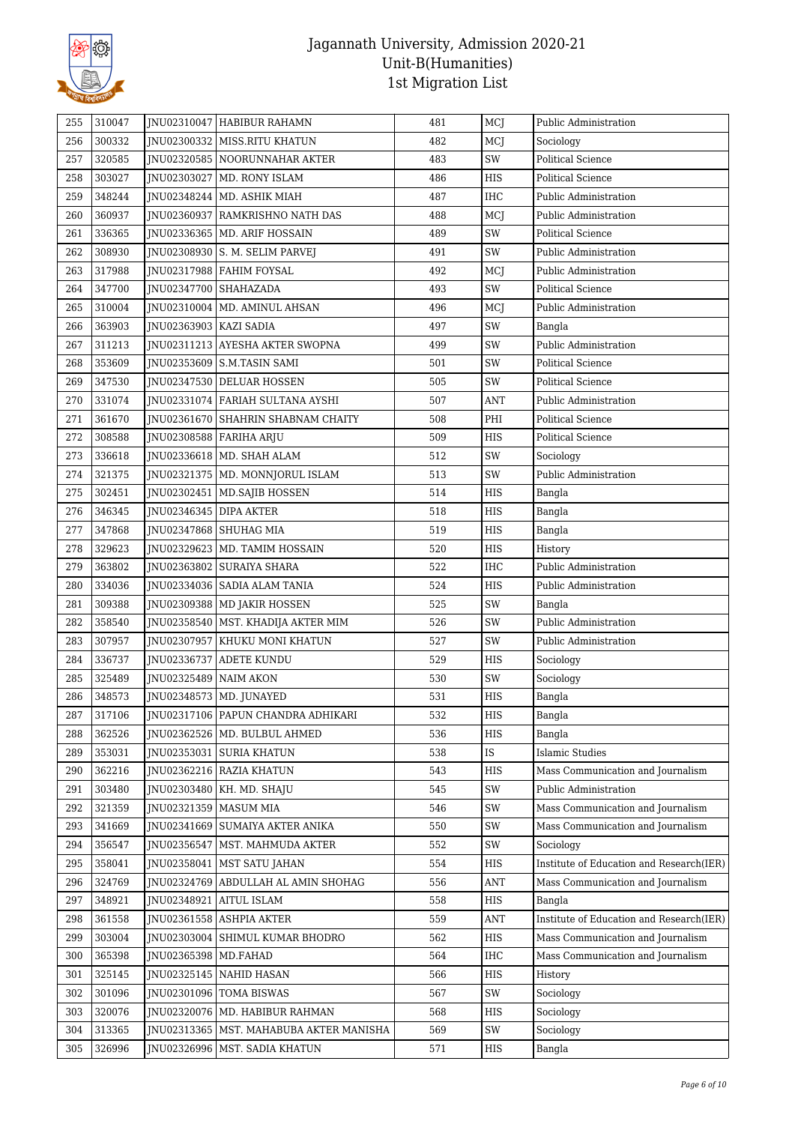

| 255 | 310047 |                          | JNU02310047 HABIBUR RAHAMN                | 481 | MCJ        | Public Administration                    |
|-----|--------|--------------------------|-------------------------------------------|-----|------------|------------------------------------------|
| 256 | 300332 |                          | JNU02300332 MISS.RITU KHATUN              | 482 | MCJ        | Sociology                                |
| 257 | 320585 |                          | JNU02320585   NOORUNNAHAR AKTER           | 483 | SW         | Political Science                        |
| 258 | 303027 | JNU02303027              | MD. RONY ISLAM                            | 486 | HIS        | <b>Political Science</b>                 |
| 259 | 348244 |                          | JNU02348244   MD. ASHIK MIAH              | 487 | <b>IHC</b> | Public Administration                    |
| 260 | 360937 |                          | JNU02360937 RAMKRISHNO NATH DAS           | 488 | MCJ        | Public Administration                    |
| 261 | 336365 |                          | JNU02336365   MD. ARIF HOSSAIN            | 489 | SW         | <b>Political Science</b>                 |
| 262 | 308930 |                          | JNU02308930   S. M. SELIM PARVEJ          | 491 | SW         | Public Administration                    |
| 263 | 317988 |                          | JNU02317988   FAHIM FOYSAL                | 492 | MCI        | Public Administration                    |
| 264 | 347700 | JNU02347700 SHAHAZADA    |                                           | 493 | SW         | <b>Political Science</b>                 |
| 265 | 310004 |                          | JNU02310004   MD. AMINUL AHSAN            | 496 | MCJ        | Public Administration                    |
| 266 | 363903 | JNU02363903   KAZI SADIA |                                           | 497 | SW         | Bangla                                   |
| 267 | 311213 |                          | JNU02311213 AYESHA AKTER SWOPNA           | 499 | SW         | Public Administration                    |
| 268 | 353609 |                          | JNU02353609   S.M.TASIN SAMI              | 501 | SW         | <b>Political Science</b>                 |
| 269 | 347530 |                          | JNU02347530 DELUAR HOSSEN                 | 505 | SW         | <b>Political Science</b>                 |
| 270 | 331074 |                          | INU02331074 FARIAH SULTANA AYSHI          | 507 | ANT        | Public Administration                    |
| 271 | 361670 |                          | INU02361670 SHAHRIN SHABNAM CHAITY        | 508 | PHI        | <b>Political Science</b>                 |
| 272 | 308588 |                          | JNU02308588 FARIHA ARJU                   | 509 | <b>HIS</b> | <b>Political Science</b>                 |
| 273 | 336618 |                          | JNU02336618   MD. SHAH ALAM               | 512 | SW         | Sociology                                |
| 274 | 321375 |                          | JNU02321375   MD. MONNJORUL ISLAM         | 513 | SW         | Public Administration                    |
| 275 | 302451 |                          | JNU02302451   MD.SAJIB HOSSEN             | 514 | HIS        | Bangla                                   |
| 276 | 346345 | JNU02346345   DIPA AKTER |                                           | 518 | HIS        | Bangla                                   |
| 277 | 347868 |                          | JNU02347868   SHUHAG MIA                  | 519 | HIS        | Bangla                                   |
| 278 | 329623 |                          | JNU02329623   MD. TAMIM HOSSAIN           | 520 | <b>HIS</b> | History                                  |
| 279 | 363802 |                          | JNU02363802   SURAIYA SHARA               | 522 | IHC        | Public Administration                    |
| 280 | 334036 |                          | JNU02334036   SADIA ALAM TANIA            | 524 | HIS        | Public Administration                    |
| 281 | 309388 |                          | JNU02309388   MD JAKIR HOSSEN             | 525 | SW         | Bangla                                   |
| 282 | 358540 |                          | JNU02358540   MST. KHADIJA AKTER MIM      | 526 | SW         | Public Administration                    |
| 283 | 307957 | INU02307957              | KHUKU MONI KHATUN                         | 527 | SW         | Public Administration                    |
| 284 | 336737 |                          | JNU02336737 ADETE KUNDU                   | 529 | HIS        | Sociology                                |
| 285 | 325489 | JNU02325489   NAIM AKON  |                                           | 530 | SW         | Sociology                                |
| 286 | 348573 |                          | JNU02348573   MD. JUNAYED                 | 531 | HIS        | Bangla                                   |
| 287 | 317106 |                          | JNU02317106   PAPUN CHANDRA ADHIKARI      | 532 | HIS        | Bangla                                   |
| 288 | 362526 |                          | JNU02362526   MD. BULBUL AHMED            | 536 | <b>HIS</b> | Bangla                                   |
| 289 | 353031 | JNU02353031              | <b>SURIA KHATUN</b>                       | 538 | IS         | <b>Islamic Studies</b>                   |
| 290 | 362216 |                          | JNU02362216 RAZIA KHATUN                  | 543 | HIS        | Mass Communication and Journalism        |
| 291 | 303480 |                          | JNU02303480   KH. MD. SHAJU               | 545 | SW         | Public Administration                    |
| 292 | 321359 | JNU02321359   MASUM MIA  |                                           | 546 | SW         | Mass Communication and Journalism        |
| 293 | 341669 | JNU02341669              | <b>SUMAIYA AKTER ANIKA</b>                | 550 | SW         | Mass Communication and Journalism        |
| 294 | 356547 | JNU02356547              | MST. MAHMUDA AKTER                        | 552 | SW         | Sociology                                |
| 295 | 358041 | JNU02358041              | <b>MST SATU JAHAN</b>                     | 554 | HIS        | Institute of Education and Research(IER) |
| 296 | 324769 |                          | JNU02324769 ABDULLAH AL AMIN SHOHAG       | 556 | ANT        | Mass Communication and Journalism        |
| 297 | 348921 | JNU02348921              | <b>AITUL ISLAM</b>                        | 558 | HIS        | Bangla                                   |
| 298 | 361558 |                          | JNU02361558   ASHPIA AKTER                | 559 | ANT        | Institute of Education and Research(IER) |
| 299 | 303004 |                          | JNU02303004 SHIMUL KUMAR BHODRO           | 562 | HIS        | Mass Communication and Journalism        |
| 300 | 365398 | JNU02365398   MD.FAHAD   |                                           | 564 | IHC        | Mass Communication and Journalism        |
| 301 | 325145 |                          | JNU02325145 NAHID HASAN                   | 566 | HIS        |                                          |
|     |        |                          |                                           |     |            | History                                  |
| 302 | 301096 |                          | JNU02301096   TOMA BISWAS                 | 567 | SW         | Sociology                                |
| 303 | 320076 |                          | JNU02320076   MD. HABIBUR RAHMAN          | 568 | HIS        | Sociology                                |
| 304 | 313365 |                          | JNU02313365   MST. MAHABUBA AKTER MANISHA | 569 | SW         | Sociology                                |
| 305 | 326996 |                          | JNU02326996   MST. SADIA KHATUN           | 571 | HIS        | Bangla                                   |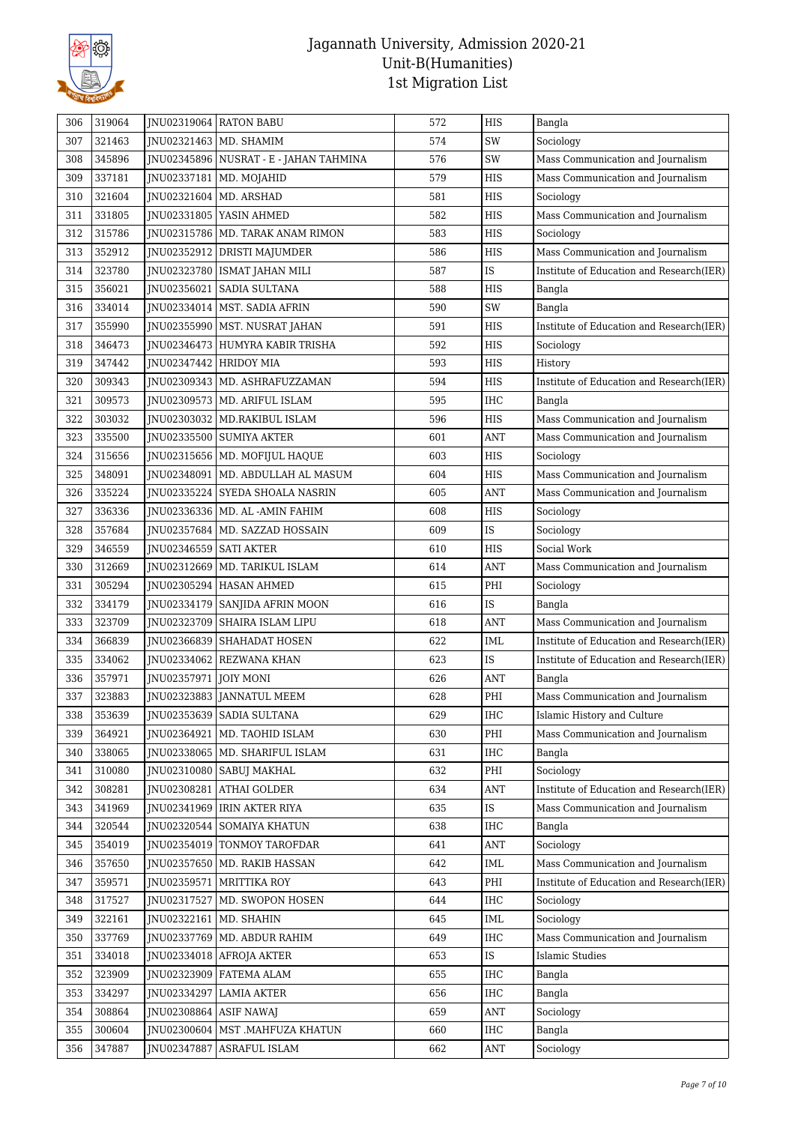

| 306        | 319064           |                          | JNU02319064 RATON BABU                                    | 572        | <b>HIS</b>                  | Bangla                                   |
|------------|------------------|--------------------------|-----------------------------------------------------------|------------|-----------------------------|------------------------------------------|
| 307        | 321463           |                          | JNU02321463   MD. SHAMIM                                  | 574        | SW                          | Sociology                                |
| 308        | 345896           |                          | JNU02345896   NUSRAT - E - JAHAN TAHMINA                  | 576        | SW                          | Mass Communication and Journalism        |
| 309        | 337181           |                          | JNU02337181   MD. MOJAHID                                 | 579        | <b>HIS</b>                  | Mass Communication and Journalism        |
| 310        | 321604           | JNU02321604   MD. ARSHAD |                                                           | 581        | <b>HIS</b>                  | Sociology                                |
| 311        | 331805           |                          | JNU02331805   YASIN AHMED                                 | 582        | HIS                         | Mass Communication and Journalism        |
| 312        | 315786           |                          | JNU02315786   MD. TARAK ANAM RIMON                        | 583        | HIS                         | Sociology                                |
| 313        | 352912           |                          | JNU02352912 DRISTI MAJUMDER                               | 586        | <b>HIS</b>                  | Mass Communication and Journalism        |
| 314        | 323780           |                          | JNU02323780   ISMAT JAHAN MILI                            | 587        | IS                          | Institute of Education and Research(IER) |
| 315        | 356021           | JNU02356021              | <b>SADIA SULTANA</b>                                      | 588        | HIS                         | Bangla                                   |
| 316        | 334014           |                          | JNU02334014   MST. SADIA AFRIN                            | 590        | SW                          | Bangla                                   |
| 317        | 355990           |                          | JNU02355990   MST. NUSRAT JAHAN                           | 591        | <b>HIS</b>                  | Institute of Education and Research(IER) |
| 318        | 346473           |                          | JNU02346473 HUMYRA KABIR TRISHA                           | 592        | HIS                         |                                          |
|            |                  |                          |                                                           |            |                             | Sociology                                |
| 319        | 347442           | JNU02347442 HRIDOY MIA   |                                                           | 593        | <b>HIS</b>                  | History                                  |
| 320        | 309343           |                          | JNU02309343   MD. ASHRAFUZZAMAN                           | 594        | HIS                         | Institute of Education and Research(IER) |
| 321        | 309573           |                          | JNU02309573 MD. ARIFUL ISLAM                              | 595        | <b>IHC</b>                  | Bangla                                   |
| 322        | 303032           |                          | JNU02303032   MD.RAKIBUL ISLAM                            | 596        | <b>HIS</b>                  | Mass Communication and Journalism        |
| 323        | 335500           |                          | JNU02335500 SUMIYA AKTER                                  | 601        | <b>ANT</b>                  | Mass Communication and Journalism        |
| 324        | 315656           |                          | JNU02315656   MD. MOFIJUL HAQUE                           | 603        | <b>HIS</b>                  | Sociology                                |
| 325        | 348091           |                          | JNU02348091   MD. ABDULLAH AL MASUM                       | 604        | <b>HIS</b>                  | Mass Communication and Journalism        |
| 326        | 335224           |                          | JNU02335224 SYEDA SHOALA NASRIN                           | 605        | ANT                         | Mass Communication and Journalism        |
| 327        | 336336           |                          | JNU02336336   MD. AL -AMIN FAHIM                          | 608        | HIS                         | Sociology                                |
| 328        | 357684           |                          | JNU02357684   MD. SAZZAD HOSSAIN                          | 609        | IS                          | Sociology                                |
| 329        | 346559           | JNU02346559 SATI AKTER   |                                                           | 610        | <b>HIS</b>                  | Social Work                              |
| 330        | 312669           |                          | JNU02312669   MD. TARIKUL ISLAM                           | 614        | ANT                         | Mass Communication and Journalism        |
| 331        | 305294           |                          | JNU02305294 HASAN AHMED                                   | 615        | PHI                         | Sociology                                |
| 332        | 334179           |                          | JNU02334179   SANJIDA AFRIN MOON                          | 616        | IS                          | Bangla                                   |
| 333        | 323709           |                          | JNU02323709 SHAIRA ISLAM LIPU                             | 618        | <b>ANT</b>                  | Mass Communication and Journalism        |
| 334        | 366839           |                          | JNU02366839   SHAHADAT HOSEN                              | 622        | IML                         | Institute of Education and Research(IER) |
| 335        | 334062           |                          | JNU02334062 REZWANA KHAN                                  | 623        | IS                          | Institute of Education and Research(IER) |
| 336        | 357971           | JNU02357971   JOIY MONI  |                                                           | 626        | <b>ANT</b>                  | Bangla                                   |
| 337        | 323883           |                          | JNU02323883 JANNATUL MEEM                                 | 628        | PHI                         | Mass Communication and Journalism        |
| 338        | 353639           |                          | JNU02353639   SADIA SULTANA                               | 629        | IHC                         | Islamic History and Culture              |
| 339        | 364921           |                          | JNU02364921   MD. TAOHID ISLAM                            | 630        | $\rm PHI$                   | Mass Communication and Journalism        |
| 340        | 338065           |                          | JNU02338065   MD. SHARIFUL ISLAM                          | 631        | IHC                         | Bangla                                   |
| 341        | 310080           |                          | JNU02310080 SABUJ MAKHAL                                  | 632        |                             |                                          |
| 342        |                  |                          |                                                           |            | PHI                         | Sociology                                |
|            | 308281           |                          | JNU02308281 ATHAI GOLDER                                  | 634        | ANT                         | Institute of Education and Research(IER) |
| 343        | 341969           |                          | JNU02341969   IRIN AKTER RIYA                             | 635        | IS                          | Mass Communication and Journalism        |
| 344        | 320544           |                          | JNU02320544 SOMAIYA KHATUN                                | 638        | IHC                         | Bangla                                   |
| 345        | 354019           |                          | JNU02354019 TONMOY TAROFDAR                               | 641        | ANT                         | Sociology                                |
| 346        | 357650           |                          |                                                           | 642        |                             | Mass Communication and Journalism        |
| 347        |                  |                          | JNU02357650   MD. RAKIB HASSAN                            | 643        | $\ensuremath{\mathsf{IML}}$ | Institute of Education and Research(IER) |
|            | 359571           |                          | JNU02359571   MRITTIKA ROY                                |            | PHI                         |                                          |
| 348<br>349 | 317527           | JNU02317527              | MD. SWOPON HOSEN                                          | 644<br>645 | $\rm IHC$<br>IML            | Sociology                                |
| 350        | 322161           | JNU02322161   MD. SHAHIN |                                                           | 649        | IHC                         | Sociology                                |
|            | 337769           |                          | JNU02337769   MD. ABDUR RAHIM                             |            |                             | Mass Communication and Journalism        |
| 351        | 334018           |                          | JNU02334018 AFROJA AKTER                                  | 653<br>655 | $\operatorname{IS}$         | <b>Islamic Studies</b>                   |
| 352        | 323909           |                          | JNU02323909   FATEMA ALAM                                 |            | IHC                         | Bangla                                   |
| 353        | 334297           | JNU02334297              | <b>LAMIA AKTER</b>                                        | 656        | IHC                         | Bangla                                   |
| 354        | 308864           | JNU02308864 ASIF NAWAJ   |                                                           | 659        | ANT                         | Sociology                                |
| 355<br>356 | 300604<br>347887 | JNU02347887              | JNU02300604   MST .MAHFUZA KHATUN<br><b>ASRAFUL ISLAM</b> | 660<br>662 | IHC<br>ANT                  | Bangla<br>Sociology                      |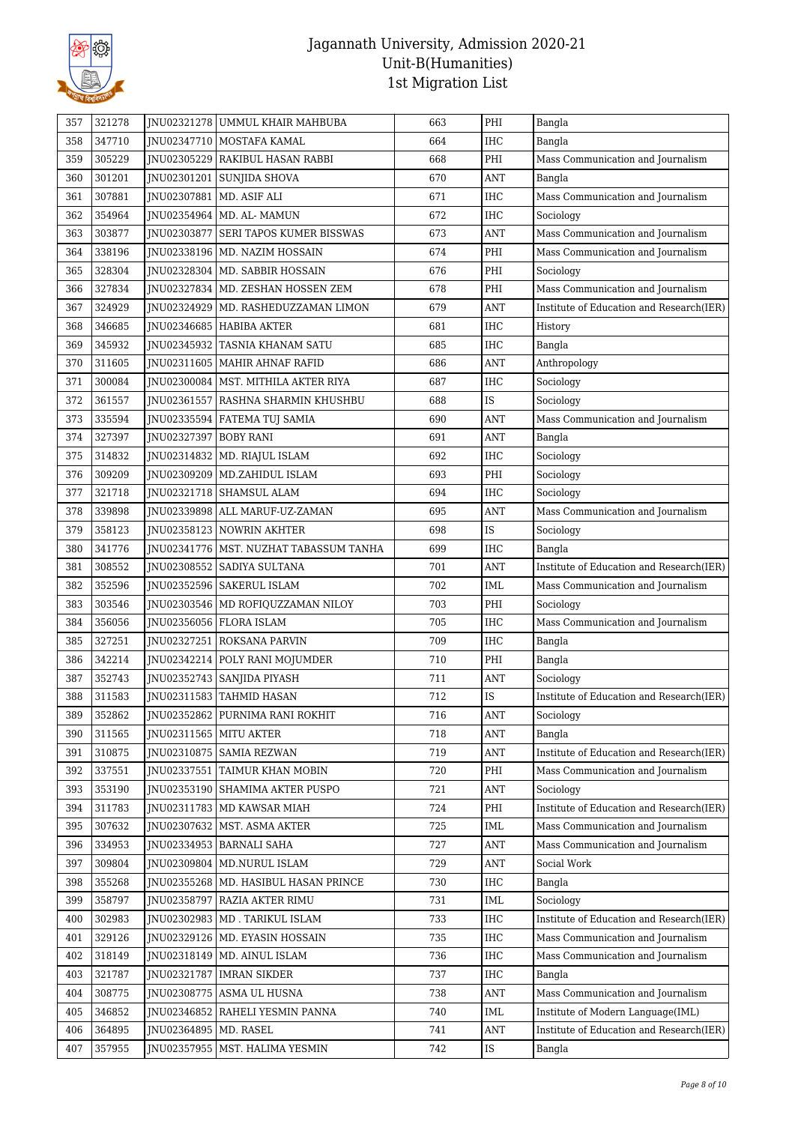

| 357 | 321278 |                         | JNU02321278 UMMUL KHAIR MAHBUBA          | 663 | PHI            | Bangla                                   |
|-----|--------|-------------------------|------------------------------------------|-----|----------------|------------------------------------------|
| 358 | 347710 |                         | JNU02347710   MOSTAFA KAMAL              | 664 | <b>IHC</b>     | Bangla                                   |
| 359 | 305229 |                         | JNU02305229 RAKIBUL HASAN RABBI          | 668 | PHI            | Mass Communication and Journalism        |
| 360 | 301201 |                         | JNU02301201 SUNJIDA SHOVA                | 670 | <b>ANT</b>     | Bangla                                   |
| 361 | 307881 |                         | JNU02307881   MD. ASIF ALI               | 671 | <b>IHC</b>     | Mass Communication and Journalism        |
| 362 | 354964 |                         | JNU02354964   MD. AL- MAMUN              | 672 | IHC            | Sociology                                |
| 363 | 303877 | JNU02303877             | <b>SERI TAPOS KUMER BISSWAS</b>          | 673 | ANT            | Mass Communication and Journalism        |
| 364 | 338196 |                         | JNU02338196   MD. NAZIM HOSSAIN          | 674 | PHI            | Mass Communication and Journalism        |
| 365 | 328304 |                         | JNU02328304   MD. SABBIR HOSSAIN         | 676 | PHI            | Sociology                                |
| 366 | 327834 | JNU02327834             | MD. ZESHAN HOSSEN ZEM                    | 678 | PHI            | Mass Communication and Journalism        |
| 367 | 324929 | JNU02324929             | MD. RASHEDUZZAMAN LIMON                  | 679 | ANT            | Institute of Education and Research(IER) |
| 368 | 346685 |                         | JNU02346685   HABIBA AKTER               | 681 | <b>IHC</b>     | History                                  |
| 369 | 345932 |                         | JNU02345932 TASNIA KHANAM SATU           | 685 | <b>IHC</b>     | Bangla                                   |
| 370 | 311605 |                         | JNU02311605   MAHIR AHNAF RAFID          | 686 | ANT            | Anthropology                             |
| 371 | 300084 |                         | JNU02300084   MST. MITHILA AKTER RIYA    | 687 | <b>IHC</b>     | Sociology                                |
| 372 | 361557 | JNU02361557             | RASHNA SHARMIN KHUSHBU                   | 688 | IS             | Sociology                                |
| 373 | 335594 |                         | JNU02335594 FATEMA TUJ SAMIA             | 690 | <b>ANT</b>     | Mass Communication and Journalism        |
| 374 | 327397 | JNU02327397 BOBY RANI   |                                          | 691 | ANT            | Bangla                                   |
| 375 | 314832 |                         | JNU02314832   MD. RIAJUL ISLAM           | 692 | IHC            | Sociology                                |
| 376 | 309209 |                         | JNU02309209 MD.ZAHIDUL ISLAM             | 693 | PHI            | Sociology                                |
| 377 | 321718 |                         | JNU02321718   SHAMSUL ALAM               | 694 | <b>IHC</b>     | Sociology                                |
| 378 | 339898 |                         | JNU02339898 ALL MARUF-UZ-ZAMAN           | 695 | <b>ANT</b>     | Mass Communication and Journalism        |
| 379 | 358123 |                         | JNU02358123 NOWRIN AKHTER                | 698 | IS             | Sociology                                |
| 380 | 341776 |                         | JNU02341776   MST. NUZHAT TABASSUM TANHA | 699 | <b>IHC</b>     | Bangla                                   |
| 381 | 308552 |                         | JNU02308552   SADIYA SULTANA             | 701 | ANT            | Institute of Education and Research(IER) |
| 382 | 352596 |                         | JNU02352596   SAKERUL ISLAM              | 702 | IML            | Mass Communication and Journalism        |
| 383 | 303546 |                         | JNU02303546   MD ROFIQUZZAMAN NILOY      | 703 | PHI            | Sociology                                |
| 384 | 356056 |                         | JNU02356056   FLORA ISLAM                | 705 | IHC            | Mass Communication and Journalism        |
| 385 | 327251 |                         | JNU02327251 ROKSANA PARVIN               | 709 | <b>IHC</b>     | Bangla                                   |
| 386 | 342214 |                         | JNU02342214 POLY RANI MOJUMDER           | 710 | $\rm PHI$      | Bangla                                   |
| 387 | 352743 |                         | JNU02352743   SANJIDA PIYASH             | 711 | <b>ANT</b>     | Sociology                                |
| 388 | 311583 |                         | JNU02311583 TAHMID HASAN                 | 712 | IS             | Institute of Education and Research(IER) |
| 389 | 352862 |                         | INU02352862 PURNIMA RANI ROKHIT          | 716 | $\mathbf{ANT}$ | Sociology                                |
| 390 | 311565 |                         | JNU02311565 MITU AKTER                   | 718 | ANT            | Bangla                                   |
| 391 | 310875 |                         | INU02310875 SAMIA REZWAN                 | 719 | <b>ANT</b>     | Institute of Education and Research(IER) |
| 392 | 337551 |                         | JNU02337551 TAIMUR KHAN MOBIN            | 720 | PHI            | Mass Communication and Journalism        |
| 393 | 353190 |                         | JNU02353190   SHAMIMA AKTER PUSPO        | 721 | ANT            | Sociology                                |
| 394 | 311783 |                         | JNU02311783   MD KAWSAR MIAH             | 724 | PHI            | Institute of Education and Research(IER) |
| 395 | 307632 |                         | JNU02307632   MST. ASMA AKTER            | 725 | IML            | Mass Communication and Journalism        |
| 396 | 334953 |                         | JNU02334953   BARNALI SAHA               | 727 | ANT            | Mass Communication and Journalism        |
| 397 | 309804 |                         | JNU02309804   MD.NURUL ISLAM             | 729 | ANT            | Social Work                              |
| 398 | 355268 |                         | JNU02355268   MD. HASIBUL HASAN PRINCE   | 730 | IHC            | Bangla                                   |
| 399 | 358797 |                         | JNU02358797 RAZIA AKTER RIMU             | 731 | IML            | Sociology                                |
| 400 | 302983 |                         | JNU02302983   MD. TARIKUL ISLAM          | 733 | IHC            | Institute of Education and Research(IER) |
| 401 | 329126 |                         | JNU02329126   MD. EYASIN HOSSAIN         | 735 | IHC            | Mass Communication and Journalism        |
| 402 | 318149 |                         | JNU02318149   MD. AINUL ISLAM            | 736 | IHC            | Mass Communication and Journalism        |
| 403 | 321787 |                         | JNU02321787   IMRAN SIKDER               | 737 | IHC            | Bangla                                   |
| 404 | 308775 |                         | JNU02308775 ASMA UL HUSNA                | 738 | <b>ANT</b>     | Mass Communication and Journalism        |
| 405 | 346852 |                         | JNU02346852 RAHELI YESMIN PANNA          | 740 | IML            | Institute of Modern Language(IML)        |
| 406 | 364895 | JNU02364895   MD. RASEL |                                          | 741 | $\mathbf{ANT}$ | Institute of Education and Research(IER) |
|     | 357955 |                         | JNU02357955   MST. HALIMA YESMIN         | 742 | <b>IS</b>      |                                          |
| 407 |        |                         |                                          |     |                | Bangla                                   |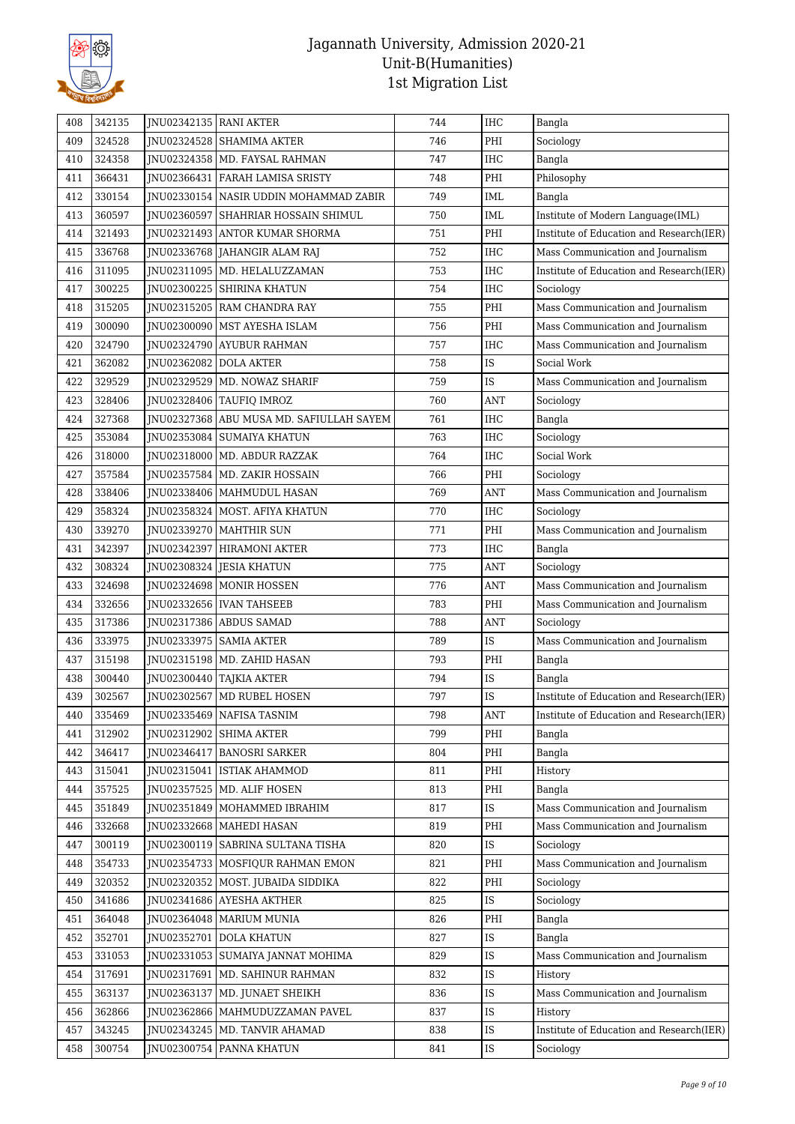

| 408        | 342135 | JNU02342135   RANI AKTER |                                                  | 744 | <b>IHC</b>                       | Bangla                                   |
|------------|--------|--------------------------|--------------------------------------------------|-----|----------------------------------|------------------------------------------|
| 409        | 324528 |                          | JNU02324528   SHAMIMA AKTER                      | 746 | PHI                              | Sociology                                |
| 410        | 324358 |                          | JNU02324358   MD. FAYSAL RAHMAN                  | 747 | <b>IHC</b>                       | Bangla                                   |
| 411        | 366431 | JNU02366431              | FARAH LAMISA SRISTY                              | 748 | PHI                              | Philosophy                               |
| 412        | 330154 |                          | JNU02330154 NASIR UDDIN MOHAMMAD ZABIR           | 749 | <b>IML</b>                       | Bangla                                   |
| 413        | 360597 |                          | JNU02360597 SHAHRIAR HOSSAIN SHIMUL              | 750 | IML                              | Institute of Modern Language(IML)        |
| 414        | 321493 |                          | JNU02321493 ANTOR KUMAR SHORMA                   | 751 | PHI                              | Institute of Education and Research(IER) |
| 415        | 336768 |                          | JNU02336768 JAHANGIR ALAM RAJ                    | 752 | IHC                              | Mass Communication and Journalism        |
| 416        | 311095 |                          | JNU02311095   MD. HELALUZZAMAN                   | 753 | <b>IHC</b>                       | Institute of Education and Research(IER) |
| 417        | 300225 |                          | JNU02300225 SHIRINA KHATUN                       | 754 | IHC                              | Sociology                                |
| 418        | 315205 |                          | JNU02315205 RAM CHANDRA RAY                      | 755 | PHI                              | Mass Communication and Journalism        |
| 419        | 300090 |                          | JNU02300090   MST AYESHA ISLAM                   | 756 | PHI                              | Mass Communication and Journalism        |
| 420        | 324790 | JNU02324790              | <b>AYUBUR RAHMAN</b>                             | 757 | IHC                              | Mass Communication and Journalism        |
| 421        | 362082 | JNU02362082 DOLA AKTER   |                                                  | 758 | IS                               | Social Work                              |
| 422        | 329529 |                          | JNU02329529   MD. NOWAZ SHARIF                   | 759 | IS                               | Mass Communication and Journalism        |
| 423        | 328406 |                          | JNU02328406 TAUFIQ IMROZ                         | 760 | <b>ANT</b>                       | Sociology                                |
| 424        | 327368 |                          | JNU02327368 ABU MUSA MD. SAFIULLAH SAYEM         | 761 | <b>IHC</b>                       | Bangla                                   |
| 425        | 353084 |                          | JNU02353084   SUMAIYA KHATUN                     | 763 | <b>IHC</b>                       | Sociology                                |
| 426        | 318000 |                          | JNU02318000   MD. ABDUR RAZZAK                   | 764 | <b>IHC</b>                       | Social Work                              |
| 427        | 357584 |                          | JNU02357584   MD. ZAKIR HOSSAIN                  | 766 | PHI                              | Sociology                                |
| 428        | 338406 |                          | JNU02338406   MAHMUDUL HASAN                     | 769 | <b>ANT</b>                       | Mass Communication and Journalism        |
| 429        | 358324 |                          | JNU02358324   MOST. AFIYA KHATUN                 | 770 | <b>IHC</b>                       | Sociology                                |
| 430        | 339270 |                          | JNU02339270   MAHTHIR SUN                        | 771 | PHI                              | Mass Communication and Journalism        |
| 431        | 342397 | JNU02342397              | <b>HIRAMONI AKTER</b>                            | 773 | <b>IHC</b>                       | Bangla                                   |
| 432        | 308324 |                          | JNU02308324 JESIA KHATUN                         | 775 | ANT                              | Sociology                                |
| 433        | 324698 |                          | JNU02324698 MONIR HOSSEN                         | 776 | <b>ANT</b>                       | Mass Communication and Journalism        |
| 434        | 332656 |                          | JNU02332656   IVAN TAHSEEB                       | 783 | PHI                              | Mass Communication and Journalism        |
| 435        | 317386 |                          | JNU02317386   ABDUS SAMAD                        | 788 | ANT                              | Sociology                                |
| 436        | 333975 |                          | JNU02333975 SAMIA AKTER                          | 789 | IS                               | Mass Communication and Journalism        |
| 437        | 315198 |                          | JNU02315198   MD. ZAHID HASAN                    | 793 | PHI                              | Bangla                                   |
| 438        | 300440 |                          | JNU02300440   TAJKIA AKTER                       | 794 | IS                               | Bangla                                   |
| 439        | 302567 |                          | JNU02302567 MD RUBEL HOSEN                       | 797 | IS                               | Institute of Education and Research(IER) |
| 440        | 335469 |                          | JNU02335469 NAFISA TASNIM                        | 798 | $\mathbf{A}\mathbf{N}\mathbf{T}$ | Institute of Education and Research(IER) |
| 441        | 312902 |                          | INU02312902 SHIMA AKTER                          | 799 | PHI                              | Bangla                                   |
| 442        | 346417 | JNU02346417              | <b>BANOSRI SARKER</b>                            | 804 | PHI                              | Bangla                                   |
| 443        | 315041 | JNU02315041              | <b>ISTIAK AHAMMOD</b>                            | 811 | PHI                              | History                                  |
| 444        | 357525 |                          | JNU02357525   MD. ALIF HOSEN                     | 813 | PHI                              | Bangla                                   |
| 445        | 351849 | JNU02351849              | MOHAMMED IBRAHIM                                 | 817 | IS                               | Mass Communication and Journalism        |
| 446        | 332668 |                          | JNU02332668   MAHEDI HASAN                       | 819 | PHI                              | Mass Communication and Journalism        |
| 447        | 300119 |                          | JNU02300119 SABRINA SULTANA TISHA                | 820 | <b>IS</b>                        | Sociology                                |
| 448        | 354733 |                          | JNU02354733   MOSFIQUR RAHMAN EMON               | 821 | PHI                              | Mass Communication and Journalism        |
| 449        | 320352 |                          | JNU02320352   MOST. JUBAIDA SIDDIKA              | 822 | PHI                              | Sociology                                |
| 450        | 341686 |                          | JNU02341686   AYESHA AKTHER                      | 825 | IS                               | Sociology                                |
|            | 364048 |                          |                                                  | 826 | PHI                              |                                          |
| 451        | 352701 | JNU02352701              | JNU02364048   MARIUM MUNIA<br><b>DOLA KHATUN</b> | 827 | IS                               | Bangla<br>Bangla                         |
| 452<br>453 | 331053 |                          | JNU02331053   SUMAIYA JANNAT MOHIMA              | 829 | IS                               |                                          |
|            |        |                          |                                                  |     |                                  | Mass Communication and Journalism        |
| 454        | 317691 |                          | JNU02317691   MD. SAHINUR RAHMAN                 | 832 | IS                               | History                                  |
| 455        | 363137 | JNU02363137              | MD. JUNAET SHEIKH                                | 836 | IS                               | Mass Communication and Journalism        |
| 456        | 362866 |                          | JNU02362866   MAHMUDUZZAMAN PAVEL                | 837 | IS                               | History                                  |
| 457        | 343245 |                          | JNU02343245   MD. TANVIR AHAMAD                  | 838 | IS                               | Institute of Education and Research(IER) |
| 458        | 300754 | JNU02300754              | <b>PANNA KHATUN</b>                              | 841 | IS                               | Sociology                                |